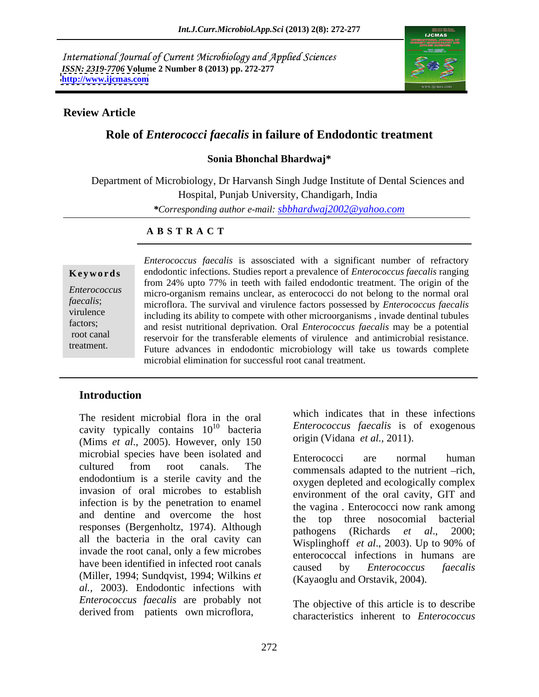International Journal of Current Microbiology and Applied Sciences *ISSN: 2319-7706* **Volume 2 Number 8 (2013) pp. 272-277 <http://www.ijcmas.com>**



## **Review Article**

# **Role of** *Enterococci faecalis* **in failure of Endodontic treatment**

### **Sonia Bhonchal Bhardwaj\***

Department of Microbiology, Dr Harvansh Singh Judge Institute of Dental Sciences and Hospital, Punjab University, Chandigarh, India *\*Corresponding author e-mail: sbbhardwaj2002@yahoo.com*

### **A B S T R A C T**

**Ke ywo rds** endodontic infections. Studies report a prevalence of *Enterococcus faecalis* ranging *Enterococcus*  micro-organism remains unclear, as enterococci do not belong to the normal oral *faecalis*; microflora. The survival and virulence factors possessed by *Enterococcus faecalis* virulence including its ability to compete with other microorganisms , invade dentinal tubules factors;<br>and resist nutritional deprivation. Oral *Enterococcus faecalis* may be a potential root canal reservoir for the transferable elements of virulence and antimicrobial resistance. treatment. Future advances in endodontic microbiology will take us towards complete *Enterococcus faecalis* is assosciated with a significant number of refractory from 24% upto 77% in teeth with failed endodontic treatment. The origin of the microbial elimination for successful root canal treatment.

# **Introduction**

cavity typically contains  $10^{10}$  bacteria (Mims *et al*., 2005). However, only 150 microbial species have been isolated and<br>Enterococci are normal human cultured from root canals. The commensals adapted to the nutrient -rich endodontium is a sterile cavity and the invasion of oral microbes to establish infection is by the penetration to enamel and dentine and overcome the host the responses (Bergenholtz, 1974). Although bathogens (Richards *et al.*, 2000; all the bacteria in the oral cavity can wisplinghoff *et al.*, 2003). Up to 90% of invade the root canal, only a few microbes have been identified in infected root canals caused by Enterococcus faecalis (Miller, 1994; Sundqvist, 1994; Wilkins *et al.,* 2003). Endodontic infections with *Enterococcus faecalis* are probably not The resident microbial flora in the oral<br>
cavity typically contains  $10^{10}$  bacteria<br> *Enterococcus faecalis* is of exogenous<br>
(Mims *et al.*, 2005). However, only 150 origin (Vidana *et al.*, 2011).<br>
Incirobial species

The resident microbial flora in the oral which indicates that in these infections <sup>10</sup> bacteria *Enterococcus faecalis* is of exogenous origin (Vidana *et al.,* 2011).

> Enterococci are normal human commensals adapted to the nutrient -rich. oxygen depleted and ecologically complex environment of the oral cavity, GIT and the vagina . Enterococci now rank among top three nosocomial bacterial pathogens (Richards *et al*., 2000; Wisplinghoff *et al*., 2003). Up to 90% of enterococcal infections in humans are caused by *Enterococcus faecalis* (Kayaoglu and Orstavik, 2004).

The objective of this article is to describe characteristics inherent to *Enterococcus*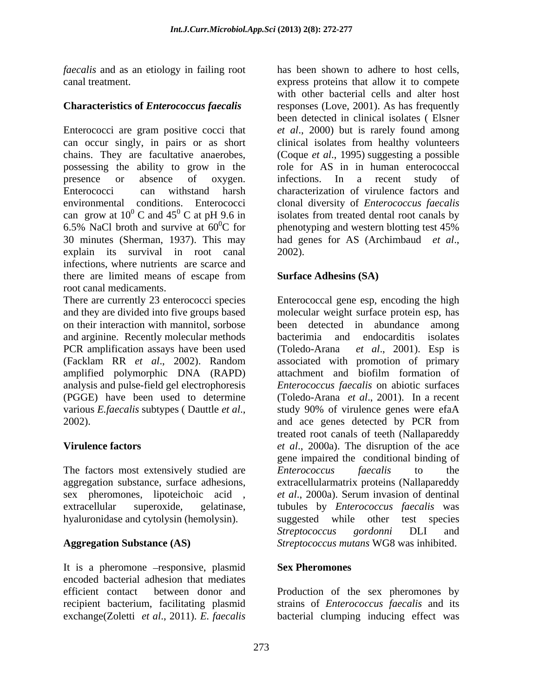*faecalis* and as an etiology in failing root

# **Characteristics of** *Enterococcus faecalis*

Enterococci are gram positive cocci that can occur singly, in pairs or as short clinical isolates from healthy volunteers chains. They are facultative anaerobes, (Coque *et al*., 1995) suggesting a possible possessing the ability to grow in the presence or absence of oxygen. infections. In a recent study of Enterococci can withstand harsh characterization of virulence factors and environmental conditions. Enterococci clonal diversity of *Enterococcus faecalis* can grow at  $10^{0}$  C and  $45^{0}$  C at pH 9.6 in isolates from treated dental root canals by 6.5% NaCl broth and survive at  $60^{\circ}$ C for phenotyping and western blotting test 45% 30 minutes (Sherman, 1937). This may had genes for AS (Archimbaud *et al*., explain its survival in root canal 2002). infections, where nutrients are scarce and there are limited means of escape from root canal medicaments.

and arginine. Recently molecular methods PCR amplification assays have been used (Toledo-Arana et al., 2001). Esp is analysis and pulse-field gel electrophoresis<br>(PGGE) have been used to determine 2002). and ace genes detected by PCR from

The factors most extensively studied are Enterococcus faecalis to the

It is a pheromone -responsive, plasmid Sex Pheromones encoded bacterial adhesion that mediates efficient contact between donor and Production of the sex pheromones by recipient bacterium, facilitating plasmid exchange(Zoletti *et al*., 2011). *E. faecalis*

canal treatment. express proteins that allow it to compete has been shown to adhere to host cells, with other bacterial cells and alter host responses (Love, 2001). As has frequently been detected in clinical isolates ( Elsner *et al*., 2000) but is rarely found among role for AS in in human enterococcal infections. In a recent study of phenotyping and western blotting test 45% 2002).

# **Surface Adhesins (SA)**

There are currently 23 enterococci species Enterococcal gene esp, encoding the high and they are divided into five groups based molecular weight surface protein esp, has on their interaction with mannitol, sorbose been detected in abundance among (Facklam RR *et al*., 2002). Random amplified polymorphic DNA (RAPD) attachment and biofilm formation of (PGGE) have been used to determine (Toledo-Arana *et al*., 2001). In a recent various *E.faecalis* subtypes ( Dauttle *et al*., study 90% of virulence genes were efaA **Virulence factors** *et al*., 2000a). The disruption of the ace aggregation substance, surface adhesions, extracellularmatrix proteins (Nallapareddy sex pheromones, lipoteichoic acid , *et al*., 2000a). Serum invasion of dentinal extracellular superoxide, gelatinase, tubules by *Enterococcus faecalis* was hyaluronidase and cytolysin (hemolysin). suggested while other test species **Aggregation Substance (AS)** *Streptococcus mutans* WG8 was inhibited. bacterimia and endocarditis (Toledo-Arana *et al*., 2001). Esp is associated with promotion of primary *Enterococcus faecalis* on abiotic surfaces and ace genes detected by PCR from treated root canals of teeth (Nallapareddy gene impaired the conditional binding of *Enterococcus faecalis*to the *Streptococcus gordonni* DLI and

# **Sex Pheromones**

strains of *Enterococcus faecalis* and its bacterial clumping inducing effect was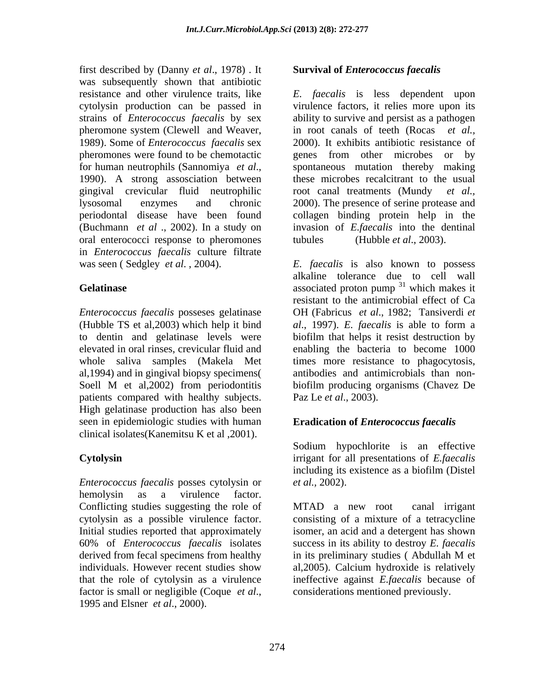first described by (Danny *et al*., 1978) . It was subsequently shown that antibiotic strains of *Enterococcus faecalis* by sex pheromone system (Clewell and Weaver, in root canals of teeth (Rocas et al., 1989). Some of *Enterococcus faecalis* sex 1990). A strong assosciation between gingival crevicular fluid neutrophilic root canal treatments (Mundy et al., (Buchmann *et al* ., 2002). In a study on oral enterococci response to pheromones in *Enterococcus faecalis* culture filtrate

(Hubble TS et al, 2003) which help it bind  $al., 1997$ ). E. faecalis is able to form a whole saliva samples (Makela Met times more resistance to phagocytosis, al,1994) and in gingival biopsy specimens( patients compared with healthy subjects. High gelatinase production has also been seen in epidemiologic studies with human clinical isolates(Kanemitsu K et al ,2001).

*Enterococcus faecalis* posses cytolysin or hemolysin as a virulence factor. Conflicting studies suggesting the role of MTAD a new root canal irrigant derived from fecal specimens from healthy in its preliminary studies (Abdullah M et factor is small or negligible (Coque *et al*., 1995 and Elsner *et al*., 2000).

## **Survival of** *Enterococcus faecalis*

resistance and other virulence traits, like *E. faecalis* is less dependent upon cytolysin production can be passed in virulence factors, it relies more upon its pheromones were found to be chemotactic genes from other microbes or by for human neutrophils (Sannomiya *et al*., spontaneous mutation thereby making lysosomal enzymes and chronic 2000). The presence of serine protease and periodontal disease have been found collagen binding protein help in the ability to survive and persist as a pathogen in root canals of teeth (Rocas 2000). It exhibits antibiotic resistance of these microbes recalcitrant to the usual root canal treatments (Mundy invasion of *E.faecalis* into the dentinal (Hubble *et al.*, 2003).

was seen ( Sedgley *et al*. , 2004). *E. faecalis* is also known to possess **Gelatinase** associated proton pump <sup>31</sup> which makes it *Enterococcus faecalis* posseses gelatinase OH (Fabricus *et al*., 1982; Tansiverdi *et*  to dentin and gelatinase levels were biofilm that helps it resist destruction by elevated in oral rinses, crevicular fluid and enabling the bacteria to become 1000 Soell M et al, 2002) from periodontitis biofilm producing organisms (Chavez De alkaline tolerance due to cell wall  $31$  which molecult which makes it resistant to the antimicrobial effect of Ca *al*., 1997). *E. faecalis* is able to form a times more resistance to phagocytosis, antibodies and antimicrobials than non biofilm producing organisms (Chavez De Paz Le *et al*., 2003).

# **Eradication of** *Enterococcus faecalis*

**Cytolysin** irrigant for all presentations of *E.faecalis* Sodium hypochlorite is an effective including its existence as a biofilm (Distel *et al.,* 2002).

cytolysin as a possible virulence factor. consisting of a mixture of a tetracycline Initial studies reported that approximately isomer, an acid and a detergent has shown 60% of *Enterococcus faecalis* isolates success in its ability to destroy *E. faecalis* individuals. However recent studies show al,2005). Calcium hydroxide is relatively that the role of cytolysin as a virulence ineffective against *E.faecalis* because of MTAD a new root canal irrigant in its preliminary studies ( Abdullah M et considerations mentioned previously.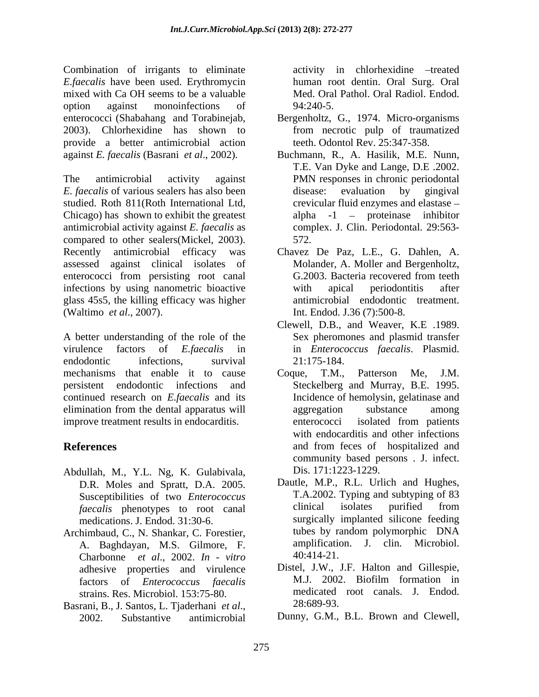Combination of irrigants to eliminate *E.faecalis* have been used. Erythromycin mixed with Ca OH seems to be a valuable option against monoinfections of 94:240-5. enterococci (Shabahang and Torabinejab, Bergenholtz, G., 1974. Micro-organisms 2003). Chlorhexidine has shown to from necrotic pulp of traumatized provide a better antimicrobial action against *E. faecalis* (Basrani *et al*., 2002).

The antimicrobial activity against PMN responses in chronic periodontal *E. faecalis* of various sealers has also been studied. Roth 811(Roth International Ltd, Chicago) has shown to exhibit the greatest antimicrobial activity against *E. faecalis* as compared to other sealers(Mickel, 2003). Recently antimicrobial efficacy was Chavez De Paz, L.E., G. Dahlen, A. assessed against clinical isolates of enterococci from persisting root canal G.2003. Bacteria recovered from teeth infections by using nanometric bioactive with apical periodontitis after glass 45s5, the killing efficacy was higher (Waltimo *et al*., 2007). Int. Endod. J.36 (7):500-8.

A better understanding of the role of the virulence factors of *E.faecalis* in in *Enterococcus faecalis*. Plasmid. endodontic infections, survival 21:175-184. mechanisms that enable it to cause Coque, T.M., Patterson Me, J.M. persistent endodontic infections and continued research on *E.faecalis* and its elimination from the dental apparatus will improve treatment results in endocarditis. The enterococci isolated from patients

- Abdullah, M., Y.L. Ng, K. Gulabivala, D.R. Moles and Spratt, D.A. 2005. *faecalis* phenotypes to root canal
- A. Baghdayan, M.S. Gilmore, F. amplification<br>Charbonne et al. 2002 In vitro 40:414-21. Charbonne *et al*., 2002. *In - vitro* adhesive properties and virulence strains. Res. Microbiol. 153:75-80. medicated<br>
rani B. J. Santos J. Tiaderhani et al. (28:689-93.)
- Basrani, B., J. Santos, L. Tjaderhani *et al.*, <sup>28:689-93.</sup><br>2002. Substantive antimicrobial Dunny, G.M., B.L. Brown and Clewell,

activity in chlorhexidine -treated human root dentin. Oral Surg. Oral Med. Oral Pathol. Oral Radiol. Endod. 94:240-5.

- teeth. Odontol Rev. 25:347-358.
- Buchmann, R., A. Hasilik, M.E. Nunn, T.E. Van Dyke and Lange, D.E .2002. disease: evaluation by gingival crevicular fluid enzymes and elastase alpha  $-1$  – proteinase inhibitor complex. J. Clin. Periodontal. 29:563- 572.
- Molander, A. Moller and Bergenholtz, G.2003. Bacteria recovered from teeth with apical periodontitis after antimicrobial endodontic treatment.
- Clewell, D.B., and Weaver, K.E .1989. Sex pheromones and plasmid transfer 21:175-184.
- **References** and from feces of hospitalized and Coque, T.M., Patterson Me, J.M. Steckelberg and Murray, B.E. 1995. Incidence of hemolysin, gelatinase and aggregation substance among enterococci isolated from patients with endocarditis and other infections community based persons . J. infect. Dis. 171:1223-1229.
- Susceptibilities of two *Enterococcus* T.A.2002. Typing and subtyping of 83<br> *faecalis* phenotypes to root canal clinical isolates purified from medications. J. Endod. 31:30-6. surgically implanted silicone feeding Archimbaud, C., N. Shankar, C. Forestier, tubes by random polymorphic DNA Dautle, M.P., R.L. Urlich and Hughes, T.A.2002. Typing and subtyping of 83 clinical isolates purified from tubes by random polymorphic DNA amplification. J. clin. Microbiol.
	- factors of *Enterococcus faecalis* Distel, J.W., J.F. Halton and Gillespie, M.J. 2002. Biofilm formation in medicated root canals. J. Endod. 28:689-93.
		- Dunny, G.M., B.L. Brown and Clewell,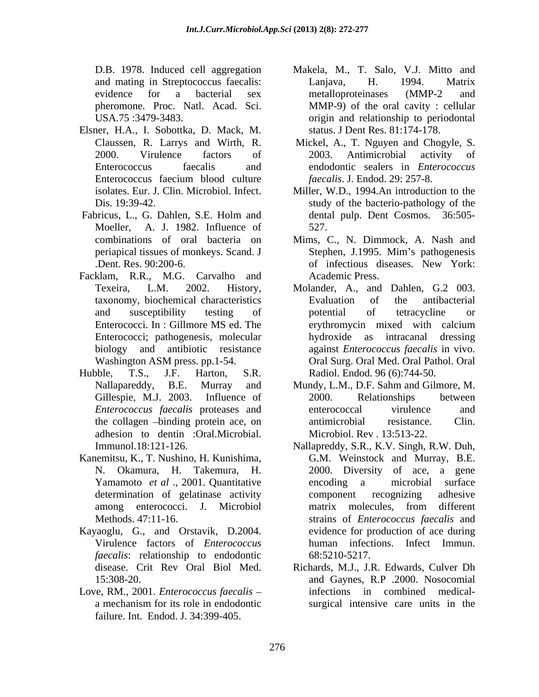- Elsner, H.A., I. Sobottka, D. Mack, M.
- Moeller, A. J. 1982. Influence of 527.
- Facklam, R.R., M.G. Carvalho and
- adhesion to dentin :Oral.Microbial. Immunol.18:121-126.
- Kanemitsu, K., T. Nushino, H. Kunishima, G.M. Weinstock and Murray, B.E.
- Kayaoglu, G., and Orstavik, D.2004. *faecalis*: relationship to endodontic 68:5210-5217.
- Love, RM., 2001. *Enterococcus faecalis* failure. Int. Endod. J. 34:399-405.
- D.B. 1978. Induced cell aggregation Makela, M., T. Salo, V.J. Mitto and and mating in Streptococcus faecalis: Lanjava, H. 1994. Matrix evidence for a bacterial sex metalloproteinases (MMP-2 and pheromone. Proc. Natl. Acad. Sci. MMP-9) of the oral cavity : cellular<br>USA.75 :3479-3483. origin and relationship to periodontal Lanjava, H. 1994. Matrix metalloproteinases (MMP-2 and MMP-9) of the oral cavity : cellular status. J Dent Res. 81:174-178.
- Claussen, R. Larrys and Wirth, R. Mickel, A., T. Nguyen and Chogyle, S. 2000. Virulence factors of 2003. Antimicrobial activity of Enterococcus faecalis and endodontic sealers in *Enterococcus*  Enterococcus faecium blood culture *faecalis*. J. Endod. 29: 257-8. 2003. Antimicrobial activity of *faecalis*. J. Endod. 29: 257-8.
- isolates. Eur. J. Clin. Microbiol. Infect. Miller, W.D., 1994.An introduction to the Dis. 19:39-42. study of the bacterio-pathology of the Fabricus, L., G. Dahlen, S.E. Holm and dental pulp. Dent Cosmos. 36:505dental pulp. Dent Cosmos. 36:505- 527.
	- combinations of oral bacteria on Mims, C., N. Dimmock, A. Nash and periapical tissues of monkeys. Scand. J Stephen, J.1995. Mim's pathogenesis .Dent. Res. 90:200-6. Stephen, J.1995. Mim's pathogenesis of infectious diseases. New York: Academic Press.
- Texeira, L.M. 2002. History, Molander, A., and Dahlen, G.2 003. taxonomy, biochemical characteristics and susceptibility testing of potential of tetracycline or Enterococci. In : Gillmore MS ed. The erythromycin mixed with calcium Enterococci; pathogenesis, molecular bydroxide as intracanal dressing biology and antibiotic resistance against *Enterococcus faecalis* in vivo. Washington ASM press. pp.1-54. Oral Surg. Oral Med. Oral Pathol. Oral Hubble, T.S., J.F. Harton, S.R. Radiol. Endod. 96 (6):744-50. Evaluation of the antibacterial potential of tetracycline or erythromycin mixed with calcium hydroxide as intracanal dressing
	- Nallapareddy, B.E. Murray and Mundy, L.M., D.F. Sahm and Gilmore, M. Gillespie, M.J. 2003. Influence of 2000. Relationships between *Enterococcus faecalis* proteases and the collagen -binding protein ace, on antimicrobial resistance. Clin. 2000. Relationships between enterococcal virulence and antimicrobial resistance. Clin. Microbiol. Rev . 13:513-22.
	- N. Okamura, H. Takemura, H. 2000. Diversity of ace, a gene Yamamoto *et al* ., 2001. Quantitative encoding a microbial surface determination of gelatinase activity component recognizing adhesive among enterococci. J. Microbiol Methods. 47:11-16. strains of *Enterococcus faecalis* and Virulence factors of *Enterococcus*  human infections. Infect Immun. Nallapreddy, S.R., K.V. Singh, R.W. Duh, G.M. Weinstock and Murray, B.E. encoding a microbial surface component recognizing adhesive matrix molecules, from different evidence for production of ace during 68:5210-5217.
	- disease. Crit Rev Oral Biol Med. Richards, M.J., J.R. Edwards, Culver Dh<br>15:308-20. and Gaynes, R.P .2000. Nosocomial a mechanism for its role in endodontic surgical intensive care units in theRichards, M.J., J.R. Edwards, Culver Dh and Gaynes, R.P .2000. Nosocomial infections in combined medical-